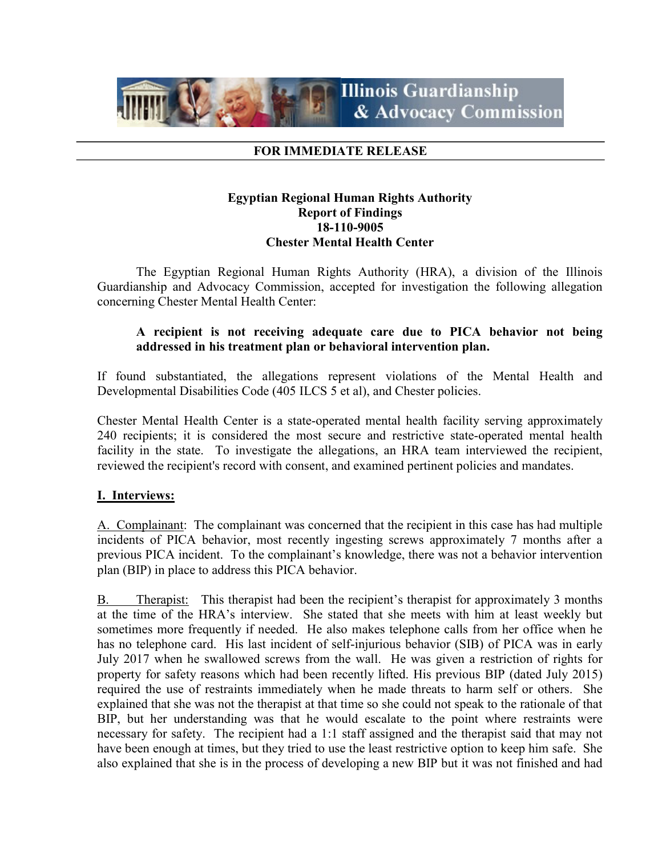

## FOR IMMEDIATE RELEASE

## Egyptian Regional Human Rights Authority Report of Findings 18-110-9005 Chester Mental Health Center

 The Egyptian Regional Human Rights Authority (HRA), a division of the Illinois Guardianship and Advocacy Commission, accepted for investigation the following allegation concerning Chester Mental Health Center:

## A recipient is not receiving adequate care due to PICA behavior not being addressed in his treatment plan or behavioral intervention plan.

If found substantiated, the allegations represent violations of the Mental Health and Developmental Disabilities Code (405 ILCS 5 et al), and Chester policies.

Chester Mental Health Center is a state-operated mental health facility serving approximately 240 recipients; it is considered the most secure and restrictive state-operated mental health facility in the state. To investigate the allegations, an HRA team interviewed the recipient, reviewed the recipient's record with consent, and examined pertinent policies and mandates.

# I. Interviews:

A. Complainant: The complainant was concerned that the recipient in this case has had multiple incidents of PICA behavior, most recently ingesting screws approximately 7 months after a previous PICA incident. To the complainant's knowledge, there was not a behavior intervention plan (BIP) in place to address this PICA behavior.

B. Therapist: This therapist had been the recipient's therapist for approximately 3 months at the time of the HRA's interview. She stated that she meets with him at least weekly but sometimes more frequently if needed. He also makes telephone calls from her office when he has no telephone card. His last incident of self-injurious behavior (SIB) of PICA was in early July 2017 when he swallowed screws from the wall. He was given a restriction of rights for property for safety reasons which had been recently lifted. His previous BIP (dated July 2015) required the use of restraints immediately when he made threats to harm self or others. She explained that she was not the therapist at that time so she could not speak to the rationale of that BIP, but her understanding was that he would escalate to the point where restraints were necessary for safety. The recipient had a 1:1 staff assigned and the therapist said that may not have been enough at times, but they tried to use the least restrictive option to keep him safe. She also explained that she is in the process of developing a new BIP but it was not finished and had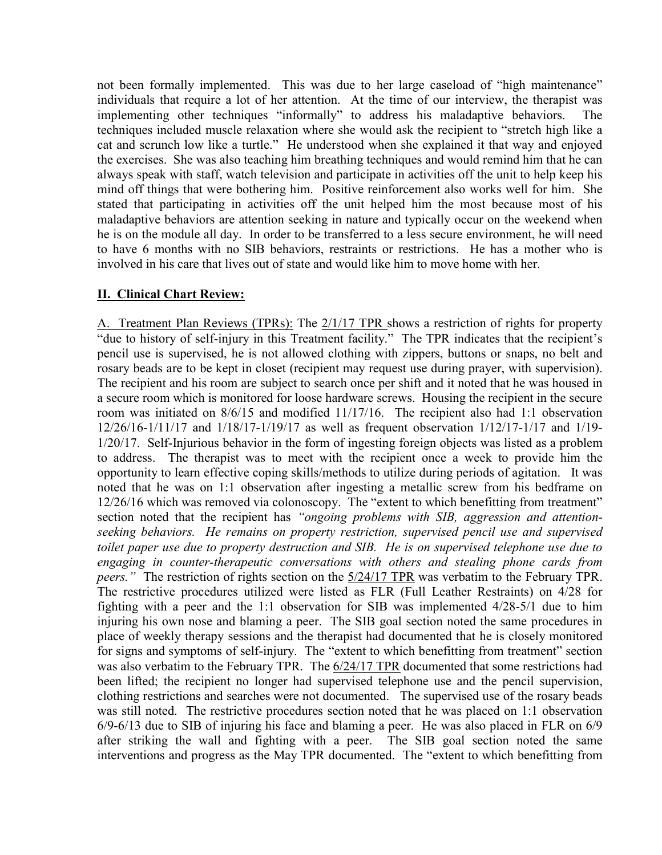not been formally implemented. This was due to her large caseload of "high maintenance" individuals that require a lot of her attention. At the time of our interview, the therapist was implementing other techniques "informally" to address his maladaptive behaviors. The techniques included muscle relaxation where she would ask the recipient to "stretch high like a cat and scrunch low like a turtle." He understood when she explained it that way and enjoyed the exercises. She was also teaching him breathing techniques and would remind him that he can always speak with staff, watch television and participate in activities off the unit to help keep his mind off things that were bothering him. Positive reinforcement also works well for him. She stated that participating in activities off the unit helped him the most because most of his maladaptive behaviors are attention seeking in nature and typically occur on the weekend when he is on the module all day. In order to be transferred to a less secure environment, he will need to have 6 months with no SIB behaviors, restraints or restrictions. He has a mother who is involved in his care that lives out of state and would like him to move home with her.

# II. Clinical Chart Review:

A. Treatment Plan Reviews (TPRs): The 2/1/17 TPR shows a restriction of rights for property "due to history of self-injury in this Treatment facility." The TPR indicates that the recipient's pencil use is supervised, he is not allowed clothing with zippers, buttons or snaps, no belt and rosary beads are to be kept in closet (recipient may request use during prayer, with supervision). The recipient and his room are subject to search once per shift and it noted that he was housed in a secure room which is monitored for loose hardware screws. Housing the recipient in the secure room was initiated on 8/6/15 and modified 11/17/16. The recipient also had 1:1 observation 12/26/16-1/11/17 and 1/18/17-1/19/17 as well as frequent observation 1/12/17-1/17 and 1/19- 1/20/17. Self-Injurious behavior in the form of ingesting foreign objects was listed as a problem to address. The therapist was to meet with the recipient once a week to provide him the opportunity to learn effective coping skills/methods to utilize during periods of agitation. It was noted that he was on 1:1 observation after ingesting a metallic screw from his bedframe on 12/26/16 which was removed via colonoscopy. The "extent to which benefitting from treatment" section noted that the recipient has "ongoing problems with SIB, aggression and attentionseeking behaviors. He remains on property restriction, supervised pencil use and supervised toilet paper use due to property destruction and SIB. He is on supervised telephone use due to engaging in counter-therapeutic conversations with others and stealing phone cards from peers." The restriction of rights section on the  $5/24/17$  TPR was verbatim to the February TPR. The restrictive procedures utilized were listed as FLR (Full Leather Restraints) on 4/28 for fighting with a peer and the 1:1 observation for SIB was implemented 4/28-5/1 due to him injuring his own nose and blaming a peer. The SIB goal section noted the same procedures in place of weekly therapy sessions and the therapist had documented that he is closely monitored for signs and symptoms of self-injury. The "extent to which benefitting from treatment" section was also verbatim to the February TPR. The 6/24/17 TPR documented that some restrictions had been lifted; the recipient no longer had supervised telephone use and the pencil supervision, clothing restrictions and searches were not documented. The supervised use of the rosary beads was still noted. The restrictive procedures section noted that he was placed on 1:1 observation 6/9-6/13 due to SIB of injuring his face and blaming a peer. He was also placed in FLR on 6/9 after striking the wall and fighting with a peer. The SIB goal section noted the same interventions and progress as the May TPR documented. The "extent to which benefitting from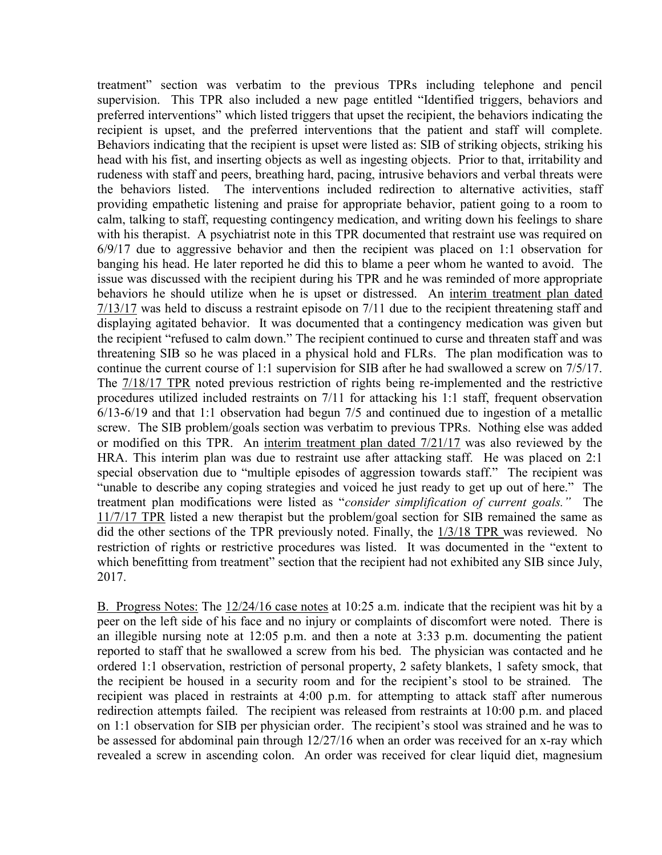treatment" section was verbatim to the previous TPRs including telephone and pencil supervision. This TPR also included a new page entitled "Identified triggers, behaviors and preferred interventions" which listed triggers that upset the recipient, the behaviors indicating the recipient is upset, and the preferred interventions that the patient and staff will complete. Behaviors indicating that the recipient is upset were listed as: SIB of striking objects, striking his head with his fist, and inserting objects as well as ingesting objects. Prior to that, irritability and rudeness with staff and peers, breathing hard, pacing, intrusive behaviors and verbal threats were the behaviors listed. The interventions included redirection to alternative activities, staff providing empathetic listening and praise for appropriate behavior, patient going to a room to calm, talking to staff, requesting contingency medication, and writing down his feelings to share with his therapist. A psychiatrist note in this TPR documented that restraint use was required on 6/9/17 due to aggressive behavior and then the recipient was placed on 1:1 observation for banging his head. He later reported he did this to blame a peer whom he wanted to avoid. The issue was discussed with the recipient during his TPR and he was reminded of more appropriate behaviors he should utilize when he is upset or distressed. An interim treatment plan dated 7/13/17 was held to discuss a restraint episode on 7/11 due to the recipient threatening staff and displaying agitated behavior. It was documented that a contingency medication was given but the recipient "refused to calm down." The recipient continued to curse and threaten staff and was threatening SIB so he was placed in a physical hold and FLRs. The plan modification was to continue the current course of 1:1 supervision for SIB after he had swallowed a screw on 7/5/17. The 7/18/17 TPR noted previous restriction of rights being re-implemented and the restrictive procedures utilized included restraints on 7/11 for attacking his 1:1 staff, frequent observation 6/13-6/19 and that 1:1 observation had begun 7/5 and continued due to ingestion of a metallic screw. The SIB problem/goals section was verbatim to previous TPRs. Nothing else was added or modified on this TPR. An interim treatment plan dated 7/21/17 was also reviewed by the HRA. This interim plan was due to restraint use after attacking staff. He was placed on 2:1 special observation due to "multiple episodes of aggression towards staff." The recipient was "unable to describe any coping strategies and voiced he just ready to get up out of here." The treatment plan modifications were listed as "consider simplification of current goals." The 11/7/17 TPR listed a new therapist but the problem/goal section for SIB remained the same as did the other sections of the TPR previously noted. Finally, the 1/3/18 TPR was reviewed. No restriction of rights or restrictive procedures was listed. It was documented in the "extent to which benefitting from treatment" section that the recipient had not exhibited any SIB since July, 2017.

B. Progress Notes: The 12/24/16 case notes at 10:25 a.m. indicate that the recipient was hit by a peer on the left side of his face and no injury or complaints of discomfort were noted. There is an illegible nursing note at  $12:05$  p.m. and then a note at  $3:33$  p.m. documenting the patient reported to staff that he swallowed a screw from his bed. The physician was contacted and he ordered 1:1 observation, restriction of personal property, 2 safety blankets, 1 safety smock, that the recipient be housed in a security room and for the recipient's stool to be strained. The recipient was placed in restraints at 4:00 p.m. for attempting to attack staff after numerous redirection attempts failed. The recipient was released from restraints at 10:00 p.m. and placed on 1:1 observation for SIB per physician order. The recipient's stool was strained and he was to be assessed for abdominal pain through 12/27/16 when an order was received for an x-ray which revealed a screw in ascending colon. An order was received for clear liquid diet, magnesium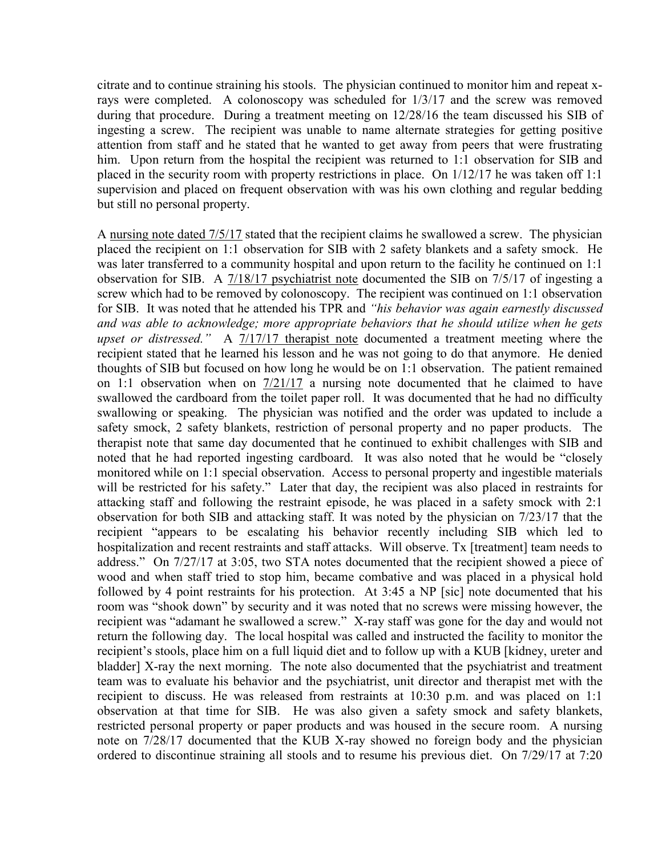citrate and to continue straining his stools. The physician continued to monitor him and repeat xrays were completed. A colonoscopy was scheduled for 1/3/17 and the screw was removed during that procedure. During a treatment meeting on 12/28/16 the team discussed his SIB of ingesting a screw. The recipient was unable to name alternate strategies for getting positive attention from staff and he stated that he wanted to get away from peers that were frustrating him. Upon return from the hospital the recipient was returned to 1:1 observation for SIB and placed in the security room with property restrictions in place. On 1/12/17 he was taken off 1:1 supervision and placed on frequent observation with was his own clothing and regular bedding but still no personal property.

A nursing note dated 7/5/17 stated that the recipient claims he swallowed a screw. The physician placed the recipient on 1:1 observation for SIB with 2 safety blankets and a safety smock. He was later transferred to a community hospital and upon return to the facility he continued on 1:1 observation for SIB. A 7/18/17 psychiatrist note documented the SIB on 7/5/17 of ingesting a screw which had to be removed by colonoscopy. The recipient was continued on 1:1 observation for SIB. It was noted that he attended his TPR and "his behavior was again earnestly discussed and was able to acknowledge; more appropriate behaviors that he should utilize when he gets upset or distressed." A 7/17/17 therapist note documented a treatment meeting where the recipient stated that he learned his lesson and he was not going to do that anymore. He denied thoughts of SIB but focused on how long he would be on 1:1 observation. The patient remained on 1:1 observation when on 7/21/17 a nursing note documented that he claimed to have swallowed the cardboard from the toilet paper roll. It was documented that he had no difficulty swallowing or speaking. The physician was notified and the order was updated to include a safety smock, 2 safety blankets, restriction of personal property and no paper products. The therapist note that same day documented that he continued to exhibit challenges with SIB and noted that he had reported ingesting cardboard. It was also noted that he would be "closely monitored while on 1:1 special observation. Access to personal property and ingestible materials will be restricted for his safety." Later that day, the recipient was also placed in restraints for attacking staff and following the restraint episode, he was placed in a safety smock with 2:1 observation for both SIB and attacking staff. It was noted by the physician on 7/23/17 that the recipient "appears to be escalating his behavior recently including SIB which led to hospitalization and recent restraints and staff attacks. Will observe. Tx [treatment] team needs to address." On 7/27/17 at 3:05, two STA notes documented that the recipient showed a piece of wood and when staff tried to stop him, became combative and was placed in a physical hold followed by 4 point restraints for his protection. At 3:45 a NP [sic] note documented that his room was "shook down" by security and it was noted that no screws were missing however, the recipient was "adamant he swallowed a screw." X-ray staff was gone for the day and would not return the following day. The local hospital was called and instructed the facility to monitor the recipient's stools, place him on a full liquid diet and to follow up with a KUB [kidney, ureter and bladder] X-ray the next morning. The note also documented that the psychiatrist and treatment team was to evaluate his behavior and the psychiatrist, unit director and therapist met with the recipient to discuss. He was released from restraints at 10:30 p.m. and was placed on 1:1 observation at that time for SIB. He was also given a safety smock and safety blankets, restricted personal property or paper products and was housed in the secure room. A nursing note on 7/28/17 documented that the KUB X-ray showed no foreign body and the physician ordered to discontinue straining all stools and to resume his previous diet. On 7/29/17 at 7:20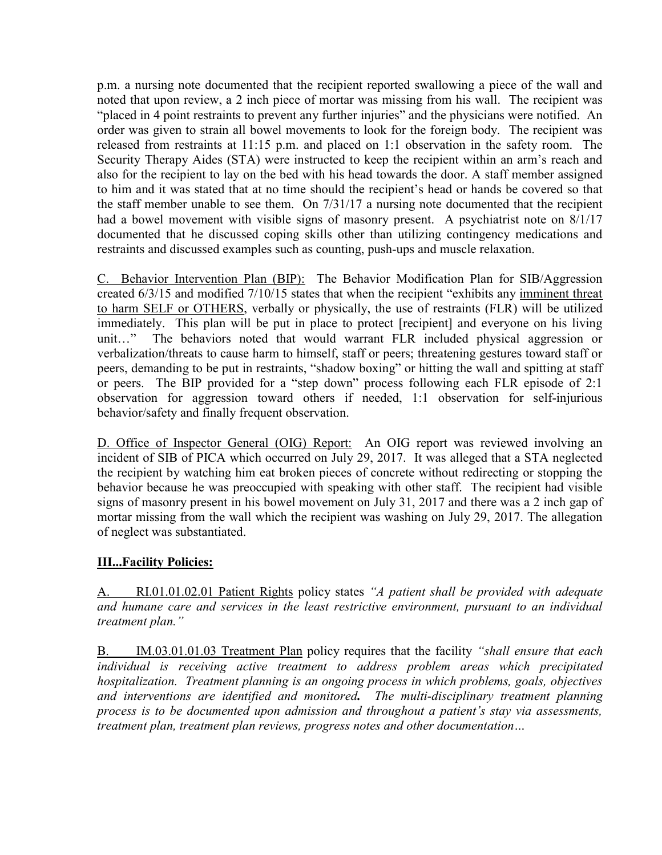p.m. a nursing note documented that the recipient reported swallowing a piece of the wall and noted that upon review, a 2 inch piece of mortar was missing from his wall. The recipient was "placed in 4 point restraints to prevent any further injuries" and the physicians were notified. An order was given to strain all bowel movements to look for the foreign body. The recipient was released from restraints at 11:15 p.m. and placed on 1:1 observation in the safety room. The Security Therapy Aides (STA) were instructed to keep the recipient within an arm's reach and also for the recipient to lay on the bed with his head towards the door. A staff member assigned to him and it was stated that at no time should the recipient's head or hands be covered so that the staff member unable to see them. On 7/31/17 a nursing note documented that the recipient had a bowel movement with visible signs of masonry present. A psychiatrist note on 8/1/17 documented that he discussed coping skills other than utilizing contingency medications and restraints and discussed examples such as counting, push-ups and muscle relaxation.

C. Behavior Intervention Plan (BIP): The Behavior Modification Plan for SIB/Aggression created 6/3/15 and modified 7/10/15 states that when the recipient "exhibits any imminent threat to harm SELF or OTHERS, verbally or physically, the use of restraints (FLR) will be utilized immediately. This plan will be put in place to protect [recipient] and everyone on his living unit…" The behaviors noted that would warrant FLR included physical aggression or verbalization/threats to cause harm to himself, staff or peers; threatening gestures toward staff or peers, demanding to be put in restraints, "shadow boxing" or hitting the wall and spitting at staff or peers. The BIP provided for a "step down" process following each FLR episode of 2:1 observation for aggression toward others if needed, 1:1 observation for self-injurious behavior/safety and finally frequent observation.

D. Office of Inspector General (OIG) Report: An OIG report was reviewed involving an incident of SIB of PICA which occurred on July 29, 2017. It was alleged that a STA neglected the recipient by watching him eat broken pieces of concrete without redirecting or stopping the behavior because he was preoccupied with speaking with other staff. The recipient had visible signs of masonry present in his bowel movement on July 31, 2017 and there was a 2 inch gap of mortar missing from the wall which the recipient was washing on July 29, 2017. The allegation of neglect was substantiated.

# **III...Facility Policies:**

A. RI.01.01.02.01 Patient Rights policy states "A patient shall be provided with adequate and humane care and services in the least restrictive environment, pursuant to an individual treatment plan."

B. IM.03.01.01.03 Treatment Plan policy requires that the facility "shall ensure that each individual is receiving active treatment to address problem areas which precipitated hospitalization. Treatment planning is an ongoing process in which problems, goals, objectives and interventions are identified and monitored. The multi-disciplinary treatment planning process is to be documented upon admission and throughout a patient's stay via assessments, treatment plan, treatment plan reviews, progress notes and other documentation…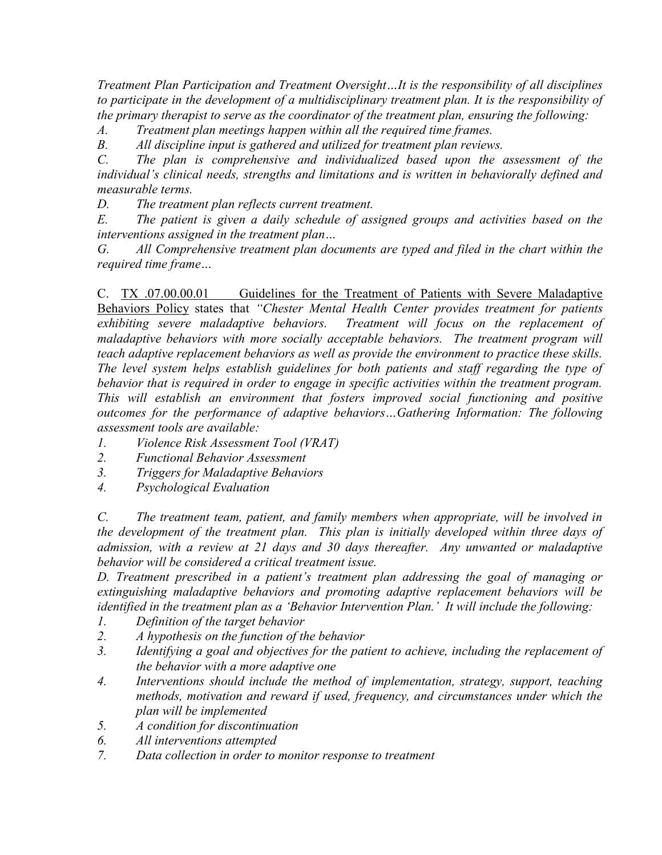Treatment Plan Participation and Treatment Oversight…It is the responsibility of all disciplines to participate in the development of a multidisciplinary treatment plan. It is the responsibility of the primary therapist to serve as the coordinator of the treatment plan, ensuring the following:

A. Treatment plan meetings happen within all the required time frames.

B. All discipline input is gathered and utilized for treatment plan reviews.

C. The plan is comprehensive and individualized based upon the assessment of the individual's clinical needs, strengths and limitations and is written in behaviorally defined and measurable terms.

D. The treatment plan reflects current treatment.

E. The patient is given a daily schedule of assigned groups and activities based on the interventions assigned in the treatment plan…

G. All Comprehensive treatment plan documents are typed and filed in the chart within the required time frame…

C. TX .07.00.00.01 Guidelines for the Treatment of Patients with Severe Maladaptive Behaviors Policy states that "Chester Mental Health Center provides treatment for patients exhibiting severe maladaptive behaviors. Treatment will focus on the replacement of maladaptive behaviors with more socially acceptable behaviors. The treatment program will teach adaptive replacement behaviors as well as provide the environment to practice these skills. The level system helps establish guidelines for both patients and staff regarding the type of behavior that is required in order to engage in specific activities within the treatment program. This will establish an environment that fosters improved social functioning and positive outcomes for the performance of adaptive behaviors…Gathering Information: The following assessment tools are available:

- 1. Violence Risk Assessment Tool (VRAT)
- 2. Functional Behavior Assessment
- 3. Triggers for Maladaptive Behaviors
- 4. Psychological Evaluation

C. The treatment team, patient, and family members when appropriate, will be involved in the development of the treatment plan. This plan is initially developed within three days of admission, with a review at 21 days and 30 days thereafter. Any unwanted or maladaptive behavior will be considered a critical treatment issue.

D. Treatment prescribed in a patient's treatment plan addressing the goal of managing or extinguishing maladaptive behaviors and promoting adaptive replacement behaviors will be identified in the treatment plan as a 'Behavior Intervention Plan.' It will include the following:

- 1. Definition of the target behavior
- 2. A hypothesis on the function of the behavior
- 3. Identifying a goal and objectives for the patient to achieve, including the replacement of the behavior with a more adaptive one
- 4. Interventions should include the method of implementation, strategy, support, teaching methods, motivation and reward if used, frequency, and circumstances under which the plan will be implemented
- 5. A condition for discontinuation
- 6. All interventions attempted
- 7. Data collection in order to monitor response to treatment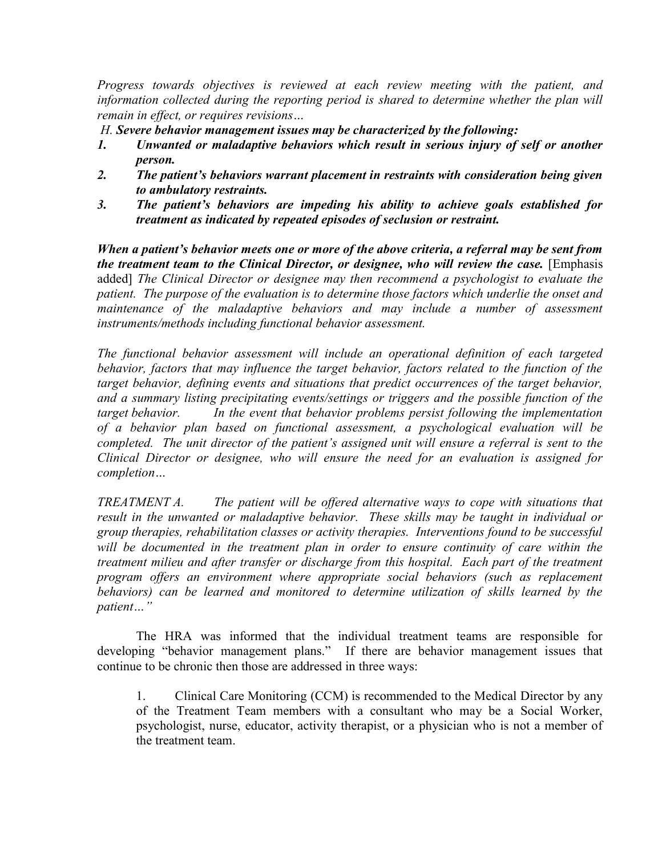Progress towards objectives is reviewed at each review meeting with the patient, and information collected during the reporting period is shared to determine whether the plan will remain in effect, or requires revisions…

H. Severe behavior management issues may be characterized by the following:

- 1. Unwanted or maladaptive behaviors which result in serious injury of self or another person.
- 2. The patient's behaviors warrant placement in restraints with consideration being given to ambulatory restraints.
- 3. The patient's behaviors are impeding his ability to achieve goals established for treatment as indicated by repeated episodes of seclusion or restraint.

When a patient's behavior meets one or more of the above criteria, a referral may be sent from the treatment team to the Clinical Director, or designee, who will review the case. [Emphasis added] The Clinical Director or designee may then recommend a psychologist to evaluate the patient. The purpose of the evaluation is to determine those factors which underlie the onset and maintenance of the maladaptive behaviors and may include a number of assessment instruments/methods including functional behavior assessment.

The functional behavior assessment will include an operational definition of each targeted behavior, factors that may influence the target behavior, factors related to the function of the target behavior, defining events and situations that predict occurrences of the target behavior, and a summary listing precipitating events/settings or triggers and the possible function of the target behavior. In the event that behavior problems persist following the implementation of a behavior plan based on functional assessment, a psychological evaluation will be completed. The unit director of the patient's assigned unit will ensure a referral is sent to the Clinical Director or designee, who will ensure the need for an evaluation is assigned for completion…

TREATMENT A. The patient will be offered alternative ways to cope with situations that result in the unwanted or maladaptive behavior. These skills may be taught in individual or group therapies, rehabilitation classes or activity therapies. Interventions found to be successful will be documented in the treatment plan in order to ensure continuity of care within the treatment milieu and after transfer or discharge from this hospital. Each part of the treatment program offers an environment where appropriate social behaviors (such as replacement behaviors) can be learned and monitored to determine utilization of skills learned by the patient…"

The HRA was informed that the individual treatment teams are responsible for developing "behavior management plans." If there are behavior management issues that continue to be chronic then those are addressed in three ways:

1. Clinical Care Monitoring (CCM) is recommended to the Medical Director by any of the Treatment Team members with a consultant who may be a Social Worker, psychologist, nurse, educator, activity therapist, or a physician who is not a member of the treatment team.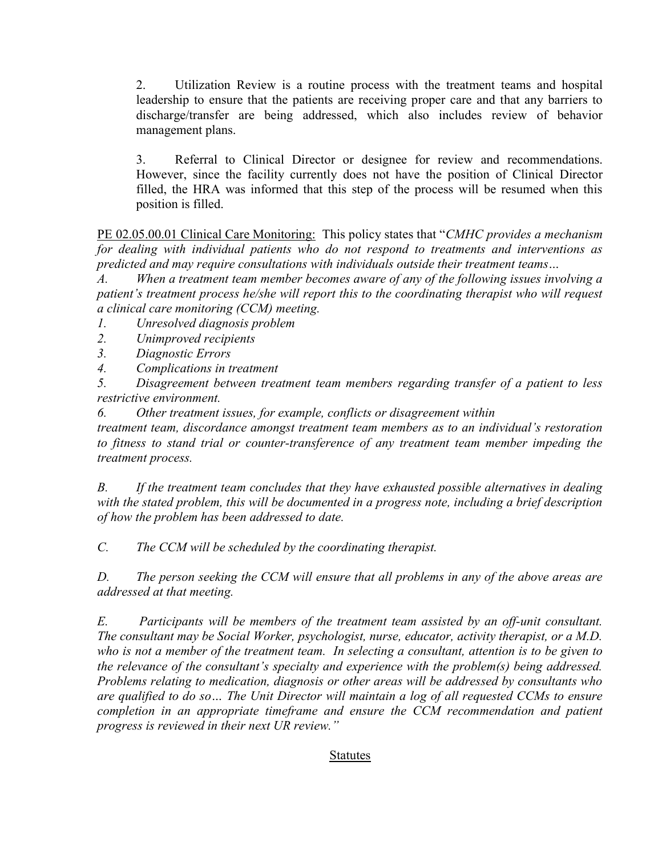2. Utilization Review is a routine process with the treatment teams and hospital leadership to ensure that the patients are receiving proper care and that any barriers to discharge/transfer are being addressed, which also includes review of behavior management plans.

3. Referral to Clinical Director or designee for review and recommendations. However, since the facility currently does not have the position of Clinical Director filled, the HRA was informed that this step of the process will be resumed when this position is filled.

PE 02.05.00.01 Clinical Care Monitoring: This policy states that "CMHC provides a mechanism" for dealing with individual patients who do not respond to treatments and interventions as predicted and may require consultations with individuals outside their treatment teams…

A. When a treatment team member becomes aware of any of the following issues involving a patient's treatment process he/she will report this to the coordinating therapist who will request a clinical care monitoring (CCM) meeting.

1. Unresolved diagnosis problem

- 2. Unimproved recipients
- 3. Diagnostic Errors
- 4. Complications in treatment

5. Disagreement between treatment team members regarding transfer of a patient to less restrictive environment.

6. Other treatment issues, for example, conflicts or disagreement within

treatment team, discordance amongst treatment team members as to an individual's restoration to fitness to stand trial or counter-transference of any treatment team member impeding the treatment process.

B. If the treatment team concludes that they have exhausted possible alternatives in dealing with the stated problem, this will be documented in a progress note, including a brief description of how the problem has been addressed to date.

C. The CCM will be scheduled by the coordinating therapist.

D. The person seeking the CCM will ensure that all problems in any of the above areas are addressed at that meeting.

E. Participants will be members of the treatment team assisted by an off-unit consultant. The consultant may be Social Worker, psychologist, nurse, educator, activity therapist, or a M.D. who is not a member of the treatment team. In selecting a consultant, attention is to be given to the relevance of the consultant's specialty and experience with the problem(s) being addressed. Problems relating to medication, diagnosis or other areas will be addressed by consultants who are qualified to do so… The Unit Director will maintain a log of all requested CCMs to ensure completion in an appropriate timeframe and ensure the CCM recommendation and patient progress is reviewed in their next UR review."

## Statutes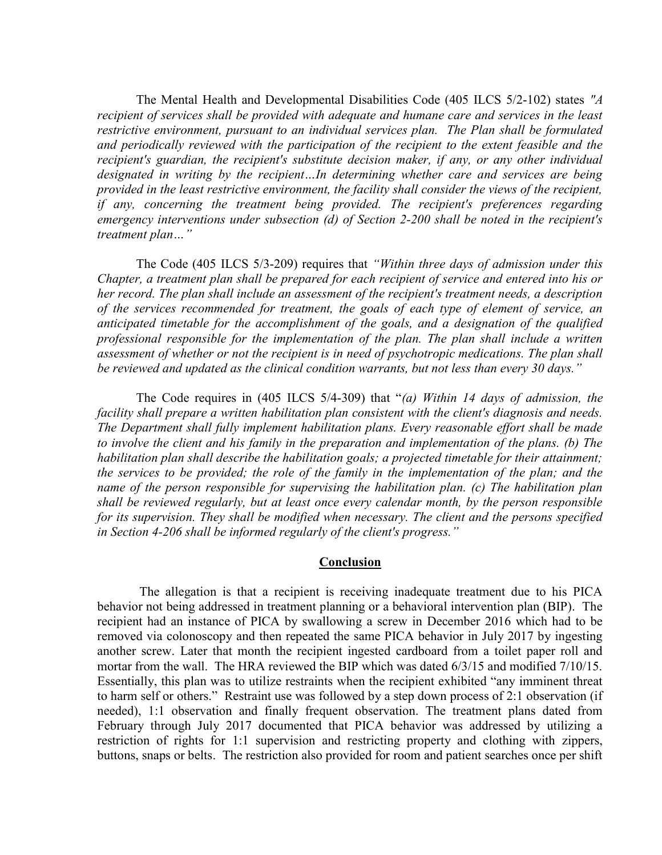The Mental Health and Developmental Disabilities Code (405 ILCS 5/2-102) states "A recipient of services shall be provided with adequate and humane care and services in the least restrictive environment, pursuant to an individual services plan. The Plan shall be formulated and periodically reviewed with the participation of the recipient to the extent feasible and the recipient's guardian, the recipient's substitute decision maker, if any, or any other individual designated in writing by the recipient…In determining whether care and services are being provided in the least restrictive environment, the facility shall consider the views of the recipient, if any, concerning the treatment being provided. The recipient's preferences regarding emergency interventions under subsection (d) of Section 2-200 shall be noted in the recipient's treatment plan…"

The Code (405 ILCS 5/3-209) requires that "Within three days of admission under this Chapter, a treatment plan shall be prepared for each recipient of service and entered into his or her record. The plan shall include an assessment of the recipient's treatment needs, a description of the services recommended for treatment, the goals of each type of element of service, an anticipated timetable for the accomplishment of the goals, and a designation of the qualified professional responsible for the implementation of the plan. The plan shall include a written assessment of whether or not the recipient is in need of psychotropic medications. The plan shall be reviewed and updated as the clinical condition warrants, but not less than every 30 days."

The Code requires in (405 ILCS 5/4-309) that "(a) Within 14 days of admission, the facility shall prepare a written habilitation plan consistent with the client's diagnosis and needs. The Department shall fully implement habilitation plans. Every reasonable effort shall be made to involve the client and his family in the preparation and implementation of the plans. (b) The habilitation plan shall describe the habilitation goals; a projected timetable for their attainment; the services to be provided; the role of the family in the implementation of the plan; and the name of the person responsible for supervising the habilitation plan. (c) The habilitation plan shall be reviewed regularly, but at least once every calendar month, by the person responsible for its supervision. They shall be modified when necessary. The client and the persons specified in Section 4-206 shall be informed regularly of the client's progress."

#### Conclusion

 The allegation is that a recipient is receiving inadequate treatment due to his PICA behavior not being addressed in treatment planning or a behavioral intervention plan (BIP). The recipient had an instance of PICA by swallowing a screw in December 2016 which had to be removed via colonoscopy and then repeated the same PICA behavior in July 2017 by ingesting another screw. Later that month the recipient ingested cardboard from a toilet paper roll and mortar from the wall. The HRA reviewed the BIP which was dated 6/3/15 and modified 7/10/15. Essentially, this plan was to utilize restraints when the recipient exhibited "any imminent threat to harm self or others." Restraint use was followed by a step down process of 2:1 observation (if needed), 1:1 observation and finally frequent observation. The treatment plans dated from February through July 2017 documented that PICA behavior was addressed by utilizing a restriction of rights for 1:1 supervision and restricting property and clothing with zippers, buttons, snaps or belts. The restriction also provided for room and patient searches once per shift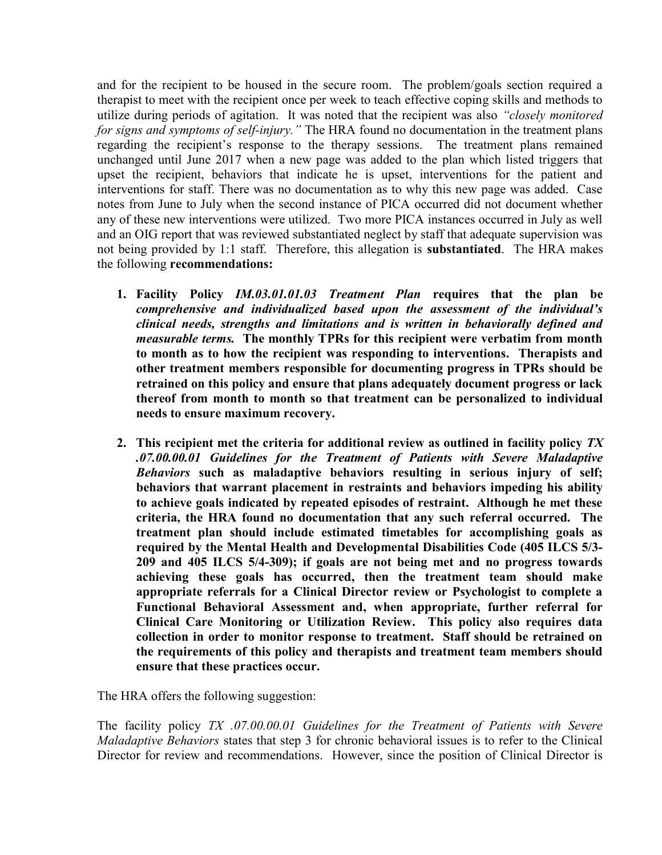and for the recipient to be housed in the secure room. The problem/goals section required a therapist to meet with the recipient once per week to teach effective coping skills and methods to utilize during periods of agitation. It was noted that the recipient was also "closely monitored for signs and symptoms of self-injury." The HRA found no documentation in the treatment plans regarding the recipient's response to the therapy sessions. The treatment plans remained unchanged until June 2017 when a new page was added to the plan which listed triggers that upset the recipient, behaviors that indicate he is upset, interventions for the patient and interventions for staff. There was no documentation as to why this new page was added. Case notes from June to July when the second instance of PICA occurred did not document whether any of these new interventions were utilized. Two more PICA instances occurred in July as well and an OIG report that was reviewed substantiated neglect by staff that adequate supervision was not being provided by 1:1 staff. Therefore, this allegation is substantiated. The HRA makes the following recommendations:

- 1. Facility Policy IM.03.01.01.03 Treatment Plan requires that the plan be comprehensive and individualized based upon the assessment of the individual's clinical needs, strengths and limitations and is written in behaviorally defined and measurable terms. The monthly TPRs for this recipient were verbatim from month to month as to how the recipient was responding to interventions. Therapists and other treatment members responsible for documenting progress in TPRs should be retrained on this policy and ensure that plans adequately document progress or lack thereof from month to month so that treatment can be personalized to individual needs to ensure maximum recovery.
- 2. This recipient met the criteria for additional review as outlined in facility policy  $TX$ .07.00.00.01 Guidelines for the Treatment of Patients with Severe Maladaptive Behaviors such as maladaptive behaviors resulting in serious injury of self; behaviors that warrant placement in restraints and behaviors impeding his ability to achieve goals indicated by repeated episodes of restraint. Although he met these criteria, the HRA found no documentation that any such referral occurred. The treatment plan should include estimated timetables for accomplishing goals as required by the Mental Health and Developmental Disabilities Code (405 ILCS 5/3- 209 and 405 ILCS 5/4-309); if goals are not being met and no progress towards achieving these goals has occurred, then the treatment team should make appropriate referrals for a Clinical Director review or Psychologist to complete a Functional Behavioral Assessment and, when appropriate, further referral for Clinical Care Monitoring or Utilization Review. This policy also requires data collection in order to monitor response to treatment. Staff should be retrained on the requirements of this policy and therapists and treatment team members should ensure that these practices occur.

The HRA offers the following suggestion:

The facility policy TX .07.00.00.01 Guidelines for the Treatment of Patients with Severe Maladaptive Behaviors states that step 3 for chronic behavioral issues is to refer to the Clinical Director for review and recommendations. However, since the position of Clinical Director is